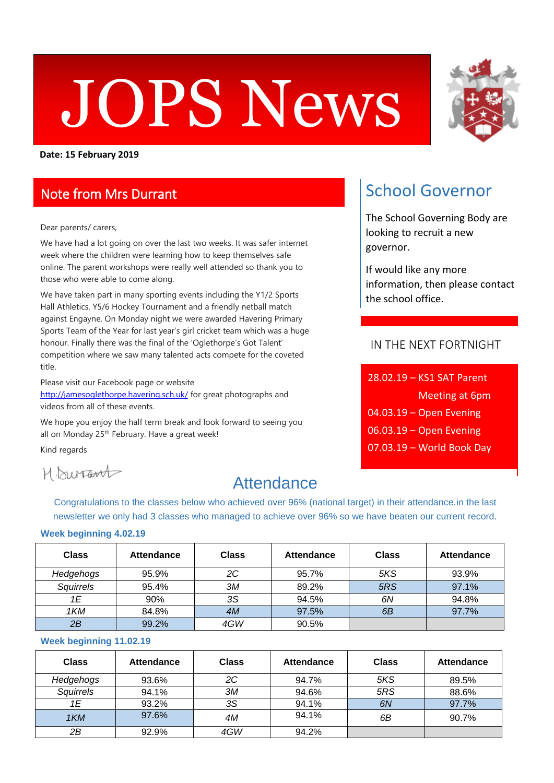# JOPS News

**Date: 15 February 2019**

### Note from Mrs Durrant

#### Dear parents/ carers,

We have had a lot going on over the last two weeks. It was safer internet week where the children were learning how to keep themselves safe online. The parent workshops were really well attended so thank you to those who were able to come along.

We have taken part in many sporting events including the Y1/2 Sports Hall Athletics, Y5/6 Hockey Tournament and a friendly netball match against Engayne. On Monday night we were awarded Havering Primary Sports Team of the Year for last year's girl cricket team which was a huge honour. Finally there was the final of the 'Oglethorpe's Got Talent' competition where we saw many talented acts compete for the coveted title.

Please visit our Facebook page or website <http://jamesoglethorpe.havering.sch.uk/> for great photographs and videos from all of these events.

We hope you enjoy the half term break and look forward to seeing you all on Monday 25<sup>th</sup> February. Have a great week!

Kind regards

H. Durfart

## **Attendance**

Congratulations to the classes below who achieved over 96% (national target) in their attendance.in the last newsletter we only had 3 classes who managed to achieve over 96% so we have beaten our current record.

#### **Week beginning 4.02.19**

| <b>Class</b> | <b>Attendance</b> | <b>Class</b> | <b>Attendance</b> | <b>Class</b> | <b>Attendance</b> |
|--------------|-------------------|--------------|-------------------|--------------|-------------------|
| Hedgehogs    | 95.9%             | 2C           | 95.7%             | 5KS          | 93.9%             |
| Squirrels    | 95.4%             | ЗМ           | 89.2%             | 5RS          | 97.1%             |
| 1E           | 90%               | ЗS           | 94.5%             | 6N           | 94.8%             |
| 1KM          | 84.8%             | 4M           | 97.5%             | 6B           | 97.7%             |
| 2B           | 99.2%             | 4GW          | 90.5%             |              |                   |

#### **Week beginning 11.02.19**

| <b>Class</b> | <b>Attendance</b> | <b>Class</b> | <b>Attendance</b> | Class | <b>Attendance</b> |
|--------------|-------------------|--------------|-------------------|-------|-------------------|
| Hedgehogs    | 93.6%             | 2C           | 94.7%             | 5KS   | 89.5%             |
| Squirrels    | 94.1%             | ЗМ           | 94.6%             | 5RS   | 88.6%             |
| 1E           | 93.2%             | 3S           | 94.1%             | 6N    | 97.7%             |
| 1KM          | 97.6%             | 4M           | 94.1%             | 6В    | 90.7%             |
| 2Β           | 92.9%             | 4GW          | 94.2%             |       |                   |



# School Governor

The School Governing Body are looking to recruit a new governor.

If would like any more information, then please contact the school office.

#### IN THE NEXT FORTNIGHT

| 28.02.19 - KS1 SAT Parent            |
|--------------------------------------|
| <b>Meeting at 6pm</b>                |
| $04.03.19 -$ Open Evening            |
| $06.03.\overline{19}$ – Open Evening |
| $07.03.19$ – World Book Day          |